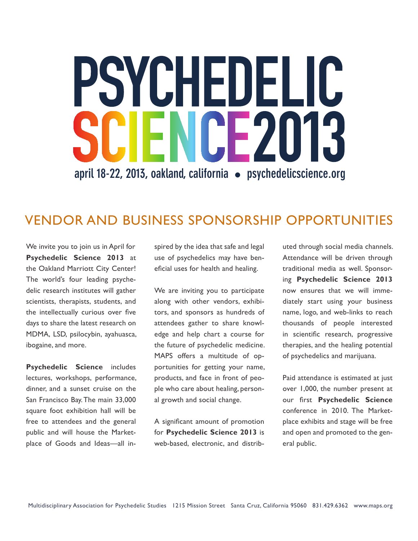# PSYCHEDELIC HENCE2013 **april 18-22, 2013, oakland, california s psychedelicscience.org**

## VENDOR AND BUSINESS SPONSORSHIP OPPORTUNITIES

We invite you to join us in April for **Psychedelic Science 2013** at the Oakland Marriott City Center! The world's four leading psychedelic research institutes will gather scientists, therapists, students, and the intellectually curious over five days to share the latest research on MDMA, LSD, psilocybin, ayahuasca, ibogaine, and more.

**Psychedelic Science** includes lectures, workshops, performance, dinner, and a sunset cruise on the San Francisco Bay. The main 33,000 square foot exhibition hall will be free to attendees and the general public and will house the Marketplace of Goods and Ideas—all inspired by the idea that safe and legal use of psychedelics may have beneficial uses for health and healing.

We are inviting you to participate along with other vendors, exhibitors, and sponsors as hundreds of attendees gather to share knowledge and help chart a course for the future of psychedelic medicine. MAPS offers a multitude of opportunities for getting your name, products, and face in front of people who care about healing, personal growth and social change.

A significant amount of promotion for **Psychedelic Science 2013** is web-based, electronic, and distributed through social media channels. Attendance will be driven through traditional media as well. Sponsoring **Psychedelic Science 2013** now ensures that we will immediately start using your business name, logo, and web-links to reach thousands of people interested in scientific research, progressive therapies, and the healing potential of psychedelics and marijuana.

Paid attendance is estimated at just over 1,000, the number present at our first **Psychedelic Science** conference in 2010. The Marketplace exhibits and stage will be free and open and promoted to the general public.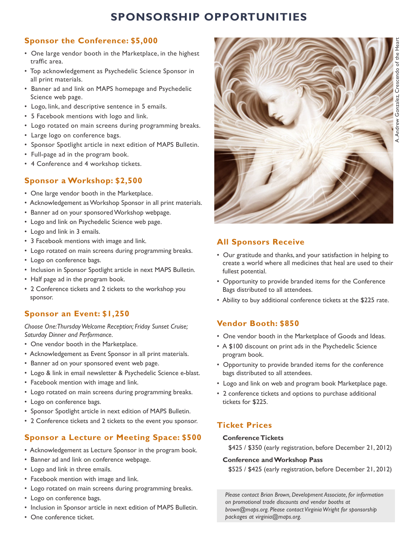## **SPONSORSHIP OPPORTUNITIES**

#### **Sponsor the Conference: \$5,000**

- One large vendor booth in the Marketplace, in the highest traffic area.
- Top acknowledgement as Psychedelic Science Sponsor in all print materials.
- Banner ad and link on MAPS homepage and Psychedelic Science web page.
- Logo, link, and descriptive sentence in 5 emails.
- 5 Facebook mentions with logo and link.
- Logo rotated on main screens during programming breaks.
- Large logo on conference bags.
- Sponsor Spotlight article in next edition of MAPS Bulletin.
- Full-page ad in the program book.
- 4 Conference and 4 workshop tickets.

#### **Sponsor a Workshop: \$2,500**

- One large vendor booth in the Marketplace.
- Acknowledgement as Workshop Sponsor in all print materials.
- Banner ad on your sponsored Workshop webpage.
- Logo and link on Psychedelic Science web page.
- Logo and link in 3 emails.
- 3 Facebook mentions with image and link.
- Logo rotated on main screens during programming breaks.
- Logo on conference bags.
- Inclusion in Sponsor Spotlight article in next MAPS Bulletin.
- Half page ad in the program book.
- \* 2 Conference tickets and 2 tickets to the workshop you sponsor.

#### **Sponsor an Event: \$1,250**

*Choose One: Thursday Welcome Reception; Friday Sunset Cruise; Saturday Dinner and Performance.*

- One vendor booth in the Marketplace.
- Acknowledgement as Event Sponsor in all print materials.
- Banner ad on your sponsored event web page.
- Logo & link in email newsletter & Psychedelic Science e-blast.
- Facebook mention with image and link.
- Logo rotated on main screens during programming breaks.
- Logo on conference bags.
- Sponsor Spotlight article in next edition of MAPS Bulletin.
- \* 2 Conference tickets and 2 tickets to the event you sponsor.

#### **Sponsor a Lecture or Meeting Space: \$500**

- Acknowledgement as Lecture Sponsor in the program book.
- Banner ad and link on conference webpage.
- Logo and link in three emails.
- Facebook mention with image and link.
- Logo rotated on main screens during programming breaks.
- Logo on conference bags.
- Inclusion in Sponsor article in next edition of MAPS Bulletin.
- One conference ticket.



## A. Andrew Gonzalez, Crescendo of the HeartGonzalez. Crescendo Andrew

#### **All Sponsors Receive**

- Our gratitude and thanks, and your satisfaction in helping to create a world where all medicines that heal are used to their fullest potential.
- Opportunity to provide branded items for the Conference Bags distributed to all attendees.
- Ability to buy additional conference tickets at the \$225 rate.

#### **Vendor Booth: \$850**

- One vendor booth in the Marketplace of Goods and Ideas.
- A \$100 discount on print ads in the Psychedelic Science program book.
- Opportunity to provide branded items for the conference bags distributed to all attendees.
- Logo and link on web and program book Marketplace page.
- 2 conference tickets and options to purchase additional tickets for \$225.

#### **Ticket Prices**

#### **Conference Tickets**

\$425 / \$350 (early registration, before December 21, 2012)

#### **Conference and Workshop Pass**

\$525 / \$425 (early registration, before December 21, 2012)

 *Please contact Brian Brown, Development Associate, for information on promotional trade discounts and vendor booths at brown@maps.org. Please contact Virginia Wright for sponsorship packages at virginia@maps.org.*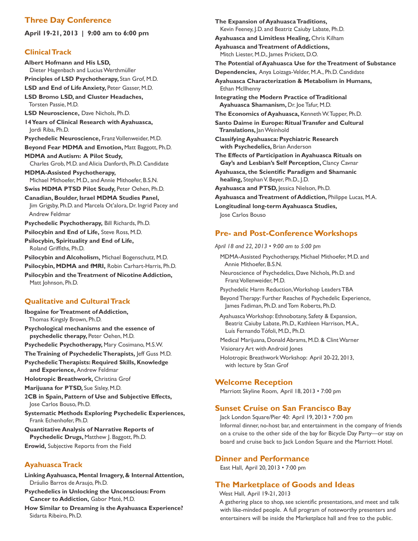#### **Three Day Conference**

**April 19-21, 2013 | 9:00 am to 6:00 pm**

#### **Clinical Track**

**Albert Hofmann and His LSD,** Dieter Hagenbach and Lucius Werthmüller **Principles of LSD Psychotherapy,** Stan Grof, M.D. **LSD and End of Life Anxiety,** Peter Gasser, M.D. **LSD Bromo LSD, and Cluster Headaches,** Torsten Passie, M.D. **LSD Neuroscience,** Dave Nichols, Ph.D. **14 Years of Clinical Research with Ayahuasca,** Jordi Riba, Ph.D. **Psychedelic Neuroscience,** Franz Vollenweider, M.D. **Beyond Fear MDMA and Emotion,** Matt Baggott, Ph.D. **MDMA and Autism: A Pilot Study,** Charles Grob, M.D. and Alicia Danforth, Ph.D. Candidate **MDMA-Assisted Psychotherapy,** Michael Mithoefer, M.D., and Annie Mithoefer, B.S.N. **Swiss MDMA PTSD Pilot Study,** Peter Oehen, Ph.D. **Canadian, Boulder, Israel MDMA Studies Panel,** Jim Grigsby, Ph.D. and Marcela Ot'alora, Dr. Ingrid Pacey and Andrew Feldmar **Psychedelic Psychotherapy,** Bill Richards, Ph.D. **Psilocybin and End of Life,** Steve Ross, M.D. **Psilocybin, Spirituality and End of Life,** Roland Griffiths, Ph.D. **Psilocybin and Alcoholism,** Michael Bogenschutz, M.D. **Psilocybin, MDMA and fMRI,** Robin Carhart-Harris, Ph.D. **Psilocybin and the Treatment of Nicotine Addiction,** Matt Johnson, Ph.D. **Qualitative and Cultural Track**

## **Ibogaine for Treatment of Addiction,**

Thomas Kingsly Brown, Ph.D.

**Psychological mechanisms and the essence of psychedelic therapy,** Peter Oehen, M.D.

**Psychedelic Psychotherapy,** Mary Cosimano, M.S.W.

**The Training of Psychedelic Therapists,** Jeff Guss M.D.

**Psychedelic Therapists: Required Skills, Knowledge and Experience,** Andrew Feldmar

**Holotropic Breathwork,** Christina Grof

**Marijuana for PTSD,** Sue Sisley, M.D.

**2CB in Spain, Pattern of Use and Subjective Effects,** Jose Carlos Bouso, Ph.D.

- **Systematic Methods Exploring Psychedelic Experiences,** Frank Echenhofer, Ph.D.
- **Quantitative Analysis of Narrative Reports of Psychedelic Drugs,** Matthew J. Baggott, Ph.D. **Erowid,** Subjective Reports from the Field

#### **Ayahuasca Track**

**Linking Ayahuasca, Mental Imagery, & Internal Attention,** Dráulio Barros de Araujo, Ph.D.

- **Psychedelics in Unlocking the Unconscious: From Cancer to Addiction,** Gabor Maté, M.D.
- **How Similar to Dreaming is the Ayahuasca Experience?** Sidarta Ribeiro, Ph.D.

**The Expansion of Ayahuasca Traditions,** Kevin Feeney, J.D. and Beatriz Caiuby Labate, Ph.D. **Ayahuasca and Limitless Healing,** Chris Kilham **Ayahuasca and Treatment of Addictions,** Mitch Liester, M.D., James Prickett, D.O. **The Potential of Ayahuasca Use for the Treatment of Substance Dependencies,** Anya Loizaga-Velder, M.A., Ph.D. Candidate **Ayahuasca Characterization & Metabolism in Humans,** Ethan McIlhenny **Integrating the Modern Practice of Traditional Ayahuasca Shamanism,** Dr. Joe Tafur, M.D. **The Economics of Ayahuasca,** Kenneth W. Tupper, Ph.D. **Santo Daime in Europe: Ritual Transfer and Cultural Translations,** Jan Weinhold **Classifying Ayahuasca: Psychiatric Research with Psychedelics,** Brian Anderson **The Effects of Participation in Ayahuasca Rituals on Gay's and Lesbian's Self Perception,** Clancy Cavnar Ayahuasca, the Scientific Paradigm and Shamanic  **healing,** Stephan V. Beyer, Ph.D., J.D. **Ayahuasca and PTSD,** Jessica Nielson, Ph.D. **Ayahuasca and Treatment of Addiction,** Philippe Lucas, M.A. **Longitudinal long-term Ayahuasca Studies,** Jose Carlos Bouso

#### **Pre- and Post-Conference Workshops**

April 18 and 22, 2013 • 9:00 am to 5:00 pm

- MDMA-Assisted Psychotherapy, Michael Mithoefer, M.D. and Annie Mithoefer, B.S.N.
- Neuroscience of Psychedelics, Dave Nichols, Ph.D. and Franz Vollenweider, M.D.
- Psychedelic Harm Reduction, Workshop Leaders TBA

 Beyond Therapy: Further Reaches of Psychedelic Experience, James Fadiman, Ph.D. and Tom Roberts, Ph.D.

Ayahuasca Workshop: Ethnobotany, Safety & Expansion, Beatriz Caiuby Labate, Ph.D., Kathleen Harrison, M.A., Luís Fernando Tófoli, M.D., Ph.D.

- Medical Marijuana, Donald Abrams, M.D. & Clint Warner Visionary Art with Android Jones
- Holotropic Breathwork Workshop: April 20-22, 2013, with lecture by Stan Grof

#### **Welcome Reception**

Marriott Skyline Room, April 18, 2013 • 7:00 pm

#### **Sunset Cruise on San Francisco Bay**

Jack London Square/Pier 40: April 19, 2013 • 7:00 pm Informal dinner, no-host bar, and entertainment in the company of friends on a cruise to the other side of the bay for Bicycle Day Party—or stay on board and cruise back to Jack London Square and the Marriott Hotel.

#### **Dinner and Performance**

East Hall, April 20, 2013 • 7:00 pm

#### **The Marketplace of Goods and Ideas**

West Hall, April 19-21, 2013

A gathering place to shop, see scientific presentations, and meet and talk with like-minded people. A full program of noteworthy presenters and entertainers will be inside the Marketplace hall and free to the public.